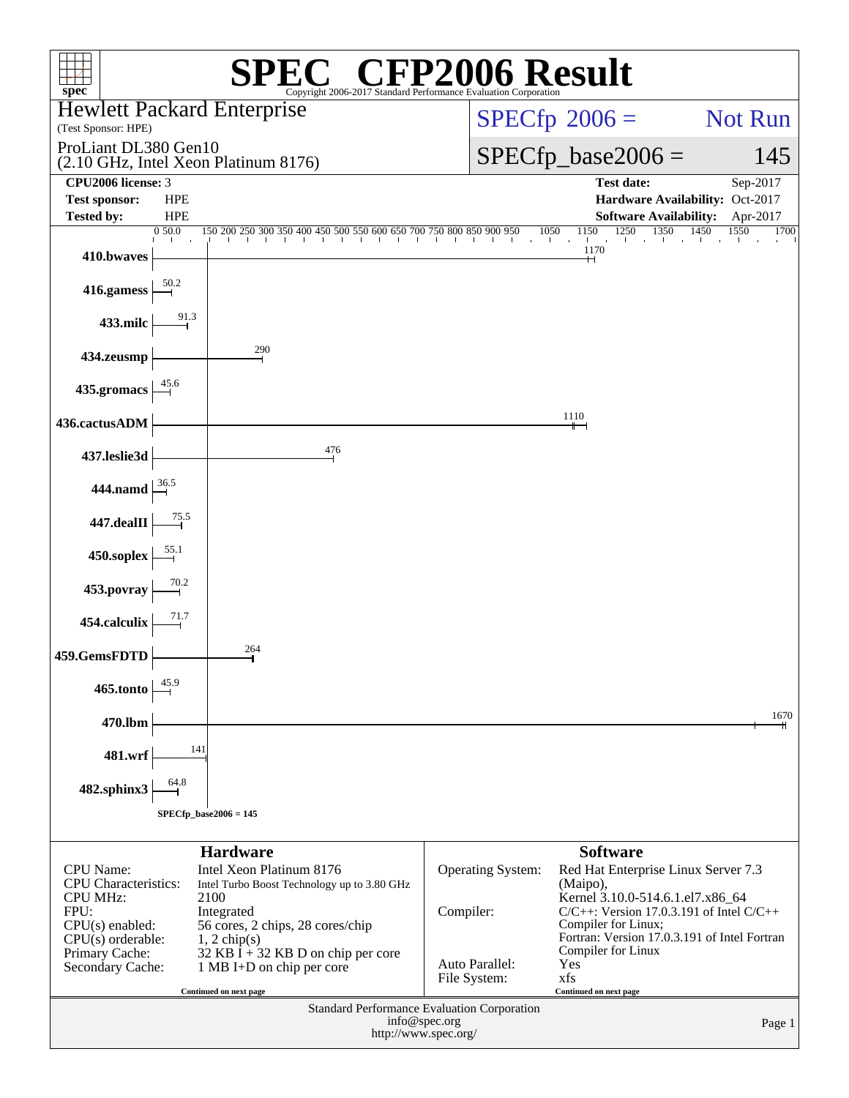| $spec^*$                                        |                          | $\mathbb{C}^{\scriptscriptstyle \circledast}$ CFP2006 Result<br>Copyright 2006-2017 Standard Performance Evaluation Corporation |                                       |      |                                                                                                      |                |
|-------------------------------------------------|--------------------------|---------------------------------------------------------------------------------------------------------------------------------|---------------------------------------|------|------------------------------------------------------------------------------------------------------|----------------|
|                                                 |                          | <b>Hewlett Packard Enterprise</b>                                                                                               |                                       |      | $SPECfp^{\circ}2006 =$                                                                               | <b>Not Run</b> |
| (Test Sponsor: HPE)                             |                          |                                                                                                                                 |                                       |      |                                                                                                      |                |
| ProLiant DL380 Gen10                            |                          | (2.10 GHz, Intel Xeon Platinum 8176)                                                                                            |                                       |      | $SPECfp\_base2006 =$                                                                                 | 145            |
| CPU <sub>2006</sub> license: 3                  |                          |                                                                                                                                 |                                       |      | <b>Test date:</b>                                                                                    | Sep-2017       |
| <b>Test sponsor:</b><br><b>Tested by:</b>       | <b>HPE</b><br><b>HPE</b> |                                                                                                                                 |                                       |      | Hardware Availability: Oct-2017<br><b>Software Availability:</b>                                     | Apr-2017       |
|                                                 | 0 50.0                   | $150200250300350400450500550600650700750800850900950$                                                                           |                                       | 1050 | 1250 1350<br>1450<br>1150<br>the contract of the contract of<br>and the<br>$\sim 10$<br>$\mathbf{I}$ | 1550<br>1700   |
| 410.bwaves                                      |                          |                                                                                                                                 |                                       |      | 1170<br>┿┥                                                                                           |                |
| 416.gamess                                      | $\frac{50.2}{2}$         |                                                                                                                                 |                                       |      |                                                                                                      |                |
| 433.milc                                        | 91.3                     |                                                                                                                                 |                                       |      |                                                                                                      |                |
| 434.zeusmp                                      |                          | 290                                                                                                                             |                                       |      |                                                                                                      |                |
| 435.gromacs                                     |                          |                                                                                                                                 |                                       |      |                                                                                                      |                |
| 436.cactusADM                                   |                          |                                                                                                                                 |                                       |      | 1110                                                                                                 |                |
| 437.leslie3d                                    |                          | 476                                                                                                                             |                                       |      |                                                                                                      |                |
| <b>444.namd</b>                                 |                          |                                                                                                                                 |                                       |      |                                                                                                      |                |
| 447.dealII                                      | 75.5                     |                                                                                                                                 |                                       |      |                                                                                                      |                |
| 450.soplex                                      | 55.1                     |                                                                                                                                 |                                       |      |                                                                                                      |                |
| 453.povray                                      | 70.2                     |                                                                                                                                 |                                       |      |                                                                                                      |                |
| 454.calculix                                    | 71.7                     |                                                                                                                                 |                                       |      |                                                                                                      |                |
| 459.GemsFDTD                                    |                          | 264                                                                                                                             |                                       |      |                                                                                                      |                |
| 465.tonto                                       | 45.9                     |                                                                                                                                 |                                       |      |                                                                                                      |                |
| 470.lbm                                         |                          |                                                                                                                                 |                                       |      |                                                                                                      | 1670           |
| 481.wrf                                         | 141                      |                                                                                                                                 |                                       |      |                                                                                                      |                |
| 482.sphinx3                                     | 64.8                     |                                                                                                                                 |                                       |      |                                                                                                      |                |
|                                                 |                          | $SPECfp\_base2006 = 145$                                                                                                        |                                       |      |                                                                                                      |                |
|                                                 |                          | <b>Hardware</b>                                                                                                                 |                                       |      | <b>Software</b>                                                                                      |                |
| <b>CPU</b> Name:<br><b>CPU</b> Characteristics: |                          | Intel Xeon Platinum 8176<br>Intel Turbo Boost Technology up to 3.80 GHz                                                         | Operating System:                     |      | Red Hat Enterprise Linux Server 7.3<br>(Maipo),                                                      |                |
| <b>CPU MHz:</b><br>FPU:                         |                          | 2100<br>Integrated                                                                                                              | Compiler:                             |      | Kernel 3.10.0-514.6.1.el7.x86_64<br>$C/C++$ : Version 17.0.3.191 of Intel $C/C++$                    |                |
| $CPU(s)$ enabled:                               |                          | 56 cores, 2 chips, 28 cores/chip                                                                                                |                                       |      | Compiler for Linux;<br>Fortran: Version 17.0.3.191 of Intel Fortran                                  |                |
| $CPU(s)$ orderable:<br>Primary Cache:           |                          | $1, 2$ chip(s)<br>32 KB I + 32 KB D on chip per core                                                                            |                                       |      | Compiler for Linux                                                                                   |                |
| Secondary Cache:                                |                          | 1 MB I+D on chip per core                                                                                                       | Auto Parallel:<br>File System:        |      | Yes<br>xfs                                                                                           |                |
|                                                 |                          | Continued on next page<br>Standard Performance Evaluation Corporation                                                           |                                       |      | Continued on next page                                                                               |                |
|                                                 |                          |                                                                                                                                 | info@spec.org<br>http://www.spec.org/ |      |                                                                                                      | Page 1         |
|                                                 |                          |                                                                                                                                 |                                       |      |                                                                                                      |                |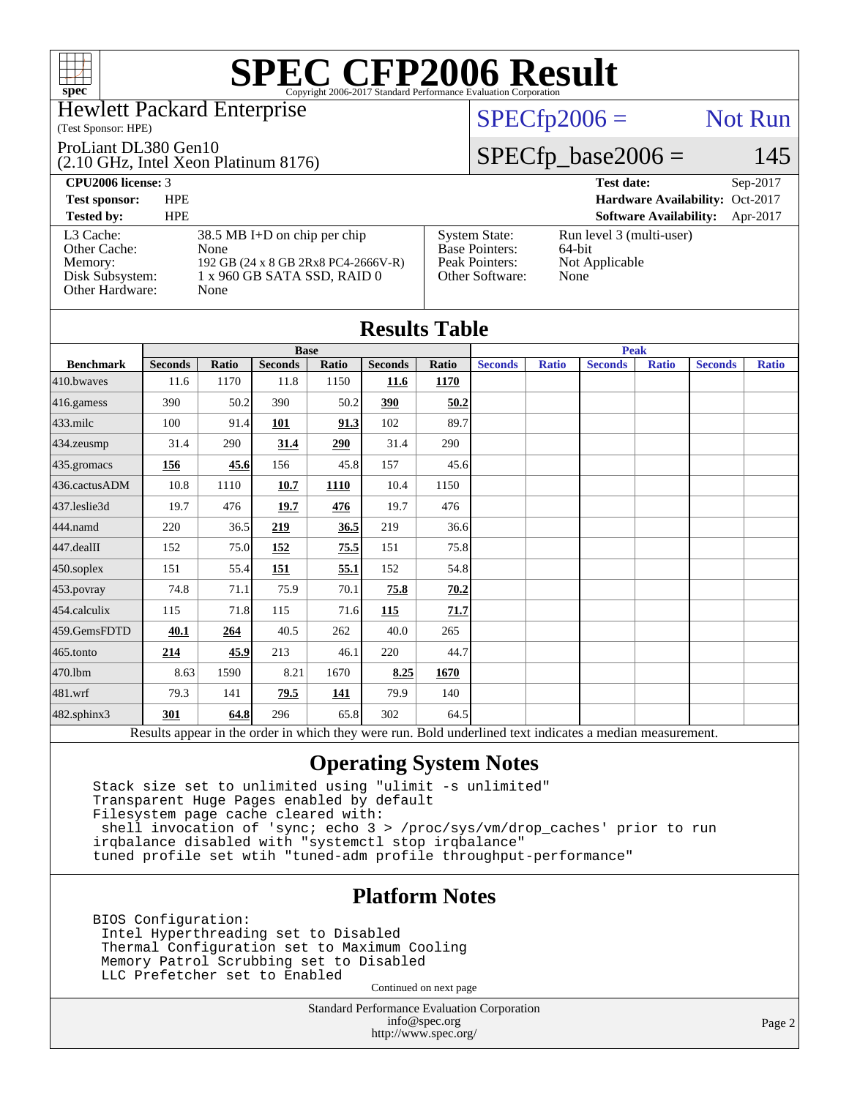

#### Hewlett Packard Enterprise

#### (Test Sponsor: HPE)

#### ProLiant DL380 Gen10

(2.10 GHz, Intel Xeon Platinum 8176)

 $SPECfp2006 =$  Not Run

#### $SPECfp\_base2006 = 145$

| <b>CPU2006 license: 3</b>                                                  |                                                                                                                      |                                                                                    | <b>Test date:</b><br>$Sep-2017$                              |
|----------------------------------------------------------------------------|----------------------------------------------------------------------------------------------------------------------|------------------------------------------------------------------------------------|--------------------------------------------------------------|
| <b>Test sponsor:</b>                                                       | <b>HPE</b>                                                                                                           |                                                                                    | Hardware Availability: Oct-2017                              |
| <b>Tested by:</b>                                                          | <b>HPE</b>                                                                                                           |                                                                                    | <b>Software Availability:</b><br>Apr-2017                    |
| L3 Cache:<br>Other Cache:<br>Memory:<br>Disk Subsystem:<br>Other Hardware: | $38.5$ MB I+D on chip per chip<br>None<br>192 GB (24 x 8 GB 2Rx8 PC4-2666V-R)<br>1 x 960 GB SATA SSD, RAID 0<br>None | <b>System State:</b><br><b>Base Pointers:</b><br>Peak Pointers:<br>Other Software: | Run level 3 (multi-user)<br>64-bit<br>Not Applicable<br>None |

|                  | <b>Results Table</b>                                                                                     |              |                |             |                |       |                |              |                |              |                |              |
|------------------|----------------------------------------------------------------------------------------------------------|--------------|----------------|-------------|----------------|-------|----------------|--------------|----------------|--------------|----------------|--------------|
|                  | <b>Base</b><br><b>Peak</b>                                                                               |              |                |             |                |       |                |              |                |              |                |              |
| <b>Benchmark</b> | <b>Seconds</b>                                                                                           | <b>Ratio</b> | <b>Seconds</b> | Ratio       | <b>Seconds</b> | Ratio | <b>Seconds</b> | <b>Ratio</b> | <b>Seconds</b> | <b>Ratio</b> | <b>Seconds</b> | <b>Ratio</b> |
| $410$ .bwayes    | 11.6                                                                                                     | 1170         | 11.8           | 1150        | 11.6           | 1170  |                |              |                |              |                |              |
| 416.gamess       | 390                                                                                                      | 50.2         | 390            | 50.2        | 390            | 50.2  |                |              |                |              |                |              |
| $433$ .milc      | 100                                                                                                      | 91.4         | 101            | 91.3        | 102            | 89.7  |                |              |                |              |                |              |
| $434$ . zeusmp   | 31.4                                                                                                     | 290          | 31.4           | 290         | 31.4           | 290   |                |              |                |              |                |              |
| 435.gromacs      | 156                                                                                                      | 45.6         | 156            | 45.8        | 157            | 45.6  |                |              |                |              |                |              |
| 436.cactusADM    | 10.8                                                                                                     | 1110         | 10.7           | <b>1110</b> | 10.4           | 1150  |                |              |                |              |                |              |
| 437.leslie3d     | 19.7                                                                                                     | 476          | 19.7           | 476         | 19.7           | 476   |                |              |                |              |                |              |
| 444.namd         | 220                                                                                                      | 36.5         | 219            | 36.5        | 219            | 36.6  |                |              |                |              |                |              |
| 447.dealII       | 152                                                                                                      | 75.0         | 152            | 75.5        | 151            | 75.8  |                |              |                |              |                |              |
| $450$ .soplex    | 151                                                                                                      | 55.4         | 151            | 55.1        | 152            | 54.8  |                |              |                |              |                |              |
| 453.povray       | 74.8                                                                                                     | 71.1         | 75.9           | 70.1        | 75.8           | 70.2  |                |              |                |              |                |              |
| 454.calculix     | 115                                                                                                      | 71.8         | 115            | 71.6        | 115            | 71.7  |                |              |                |              |                |              |
| 459.GemsFDTD     | 40.1                                                                                                     | 264          | 40.5           | 262         | 40.0           | 265   |                |              |                |              |                |              |
| 465.tonto        | 214                                                                                                      | 45.9         | 213            | 46.1        | 220            | 44.7  |                |              |                |              |                |              |
| 470.1bm          | 8.63                                                                                                     | 1590         | 8.21           | 1670        | 8.25           | 1670  |                |              |                |              |                |              |
| 481.wrf          | 79.3                                                                                                     | 141          | 79.5           | <u>141</u>  | 79.9           | 140   |                |              |                |              |                |              |
| 482.sphinx3      | 301                                                                                                      | 64.8         | 296            | 65.8        | 302            | 64.5  |                |              |                |              |                |              |
|                  | Results appear in the order in which they were run. Bold underlined text indicates a median measurement. |              |                |             |                |       |                |              |                |              |                |              |

#### **[Operating System Notes](http://www.spec.org/auto/cpu2006/Docs/result-fields.html#OperatingSystemNotes)**

 Stack size set to unlimited using "ulimit -s unlimited" Transparent Huge Pages enabled by default Filesystem page cache cleared with: shell invocation of 'sync; echo 3 > /proc/sys/vm/drop\_caches' prior to run irqbalance disabled with "systemctl stop irqbalance" tuned profile set wtih "tuned-adm profile throughput-performance"

#### **[Platform Notes](http://www.spec.org/auto/cpu2006/Docs/result-fields.html#PlatformNotes)**

 BIOS Configuration: Intel Hyperthreading set to Disabled Thermal Configuration set to Maximum Cooling Memory Patrol Scrubbing set to Disabled LLC Prefetcher set to Enabled

Continued on next page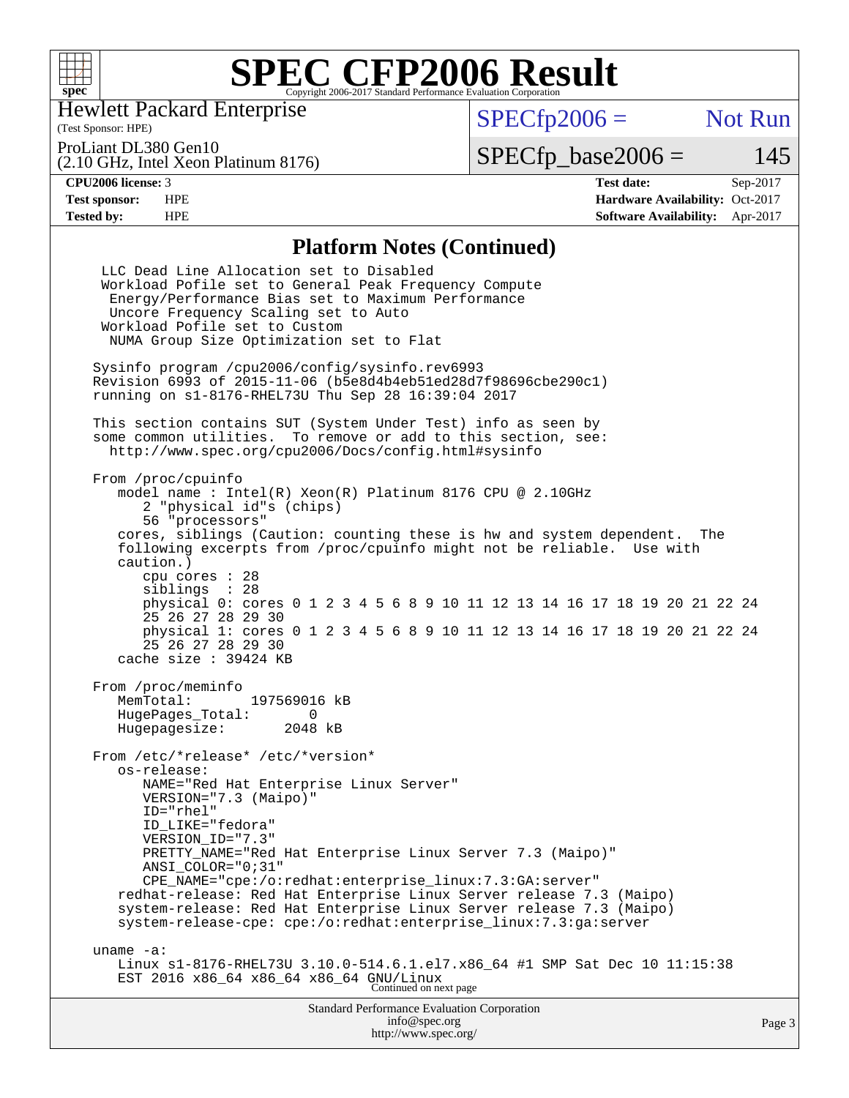

Hewlett Packard Enterprise

 $SPECfp2006 =$  Not Run

ProLiant DL380 Gen10

(2.10 GHz, Intel Xeon Platinum 8176)

 $SPECTp\_base2006 = 145$ 

(Test Sponsor: HPE)

**[CPU2006 license:](http://www.spec.org/auto/cpu2006/Docs/result-fields.html#CPU2006license)** 3 **[Test date:](http://www.spec.org/auto/cpu2006/Docs/result-fields.html#Testdate)** Sep-2017 **[Test sponsor:](http://www.spec.org/auto/cpu2006/Docs/result-fields.html#Testsponsor)** HPE **[Hardware Availability:](http://www.spec.org/auto/cpu2006/Docs/result-fields.html#HardwareAvailability)** Oct-2017 **[Tested by:](http://www.spec.org/auto/cpu2006/Docs/result-fields.html#Testedby)** HPE **[Software Availability:](http://www.spec.org/auto/cpu2006/Docs/result-fields.html#SoftwareAvailability)** Apr-2017

#### **[Platform Notes \(Continued\)](http://www.spec.org/auto/cpu2006/Docs/result-fields.html#PlatformNotes)**

| <b>Standard Performance Evaluation Corporation</b><br>info@spec.org<br>http://www.spec.org/                                                                                                                                                                                                                                                                                                                                                                                                                                              | Page 3 |
|------------------------------------------------------------------------------------------------------------------------------------------------------------------------------------------------------------------------------------------------------------------------------------------------------------------------------------------------------------------------------------------------------------------------------------------------------------------------------------------------------------------------------------------|--------|
| uname $-a$ :<br>Linux s1-8176-RHEL73U 3.10.0-514.6.1.el7.x86_64 #1 SMP Sat Dec 10 11:15:38<br>EST 2016 x86_64 x86_64 x86_64 GNU/Linux<br>Continued on next page                                                                                                                                                                                                                                                                                                                                                                          |        |
| From /etc/*release* /etc/*version*<br>os-release:<br>NAME="Red Hat Enterprise Linux Server"<br>VERSION="7.3 (Maipo)"<br>ID="rhel"<br>ID LIKE="fedora"<br>VERSION_ID="7.3"<br>PRETTY_NAME="Red Hat Enterprise Linux Server 7.3 (Maipo)"<br>ANSI COLOR="0;31"<br>CPE_NAME="cpe:/o:redhat:enterprise_linux:7.3:GA:server"<br>redhat-release: Red Hat Enterprise Linux Server release 7.3 (Maipo)<br>system-release: Red Hat Enterprise Linux Server release 7.3 (Maipo)<br>system-release-cpe: cpe:/o:redhat:enterprise_linux:7.3:ga:server |        |
| From /proc/meminfo<br>MemTotal:<br>197569016 kB<br>HugePages_Total:<br>$\Omega$<br>Hugepagesize: 2048 kB                                                                                                                                                                                                                                                                                                                                                                                                                                 |        |
| cores, siblings (Caution: counting these is hw and system dependent.<br>The<br>following excerpts from /proc/cpuinfo might not be reliable. Use with<br>caution.)<br>cpu cores : 28<br>siblings : 28<br>physical 0: cores 0 1 2 3 4 5 6 8 9 10 11 12 13 14 16 17 18 19 20 21 22 24<br>25 26 27 28 29 30<br>physical 1: cores 0 1 2 3 4 5 6 8 9 10 11 12 13 14 16 17 18 19 20 21 22 24<br>25 26 27 28 29 30<br>cache size : 39424 KB                                                                                                      |        |
| From /proc/cpuinfo<br>model name: $Intel(R)$ Xeon $(R)$ Platinum 8176 CPU @ 2.10GHz<br>2 "physical id"s (chips)<br>56 "processors"                                                                                                                                                                                                                                                                                                                                                                                                       |        |
| This section contains SUT (System Under Test) info as seen by<br>some common utilities. To remove or add to this section, see:<br>http://www.spec.org/cpu2006/Docs/config.html#sysinfo                                                                                                                                                                                                                                                                                                                                                   |        |
| Sysinfo program /cpu2006/config/sysinfo.rev6993<br>Revision 6993 of 2015-11-06 (b5e8d4b4eb51ed28d7f98696cbe290c1)<br>running on s1-8176-RHEL73U Thu Sep 28 16:39:04 2017                                                                                                                                                                                                                                                                                                                                                                 |        |
| LLC Dead Line Allocation set to Disabled<br>Workload Pofile set to General Peak Frequency Compute<br>Energy/Performance Bias set to Maximum Performance<br>Uncore Frequency Scaling set to Auto<br>Workload Pofile set to Custom<br>NUMA Group Size Optimization set to Flat                                                                                                                                                                                                                                                             |        |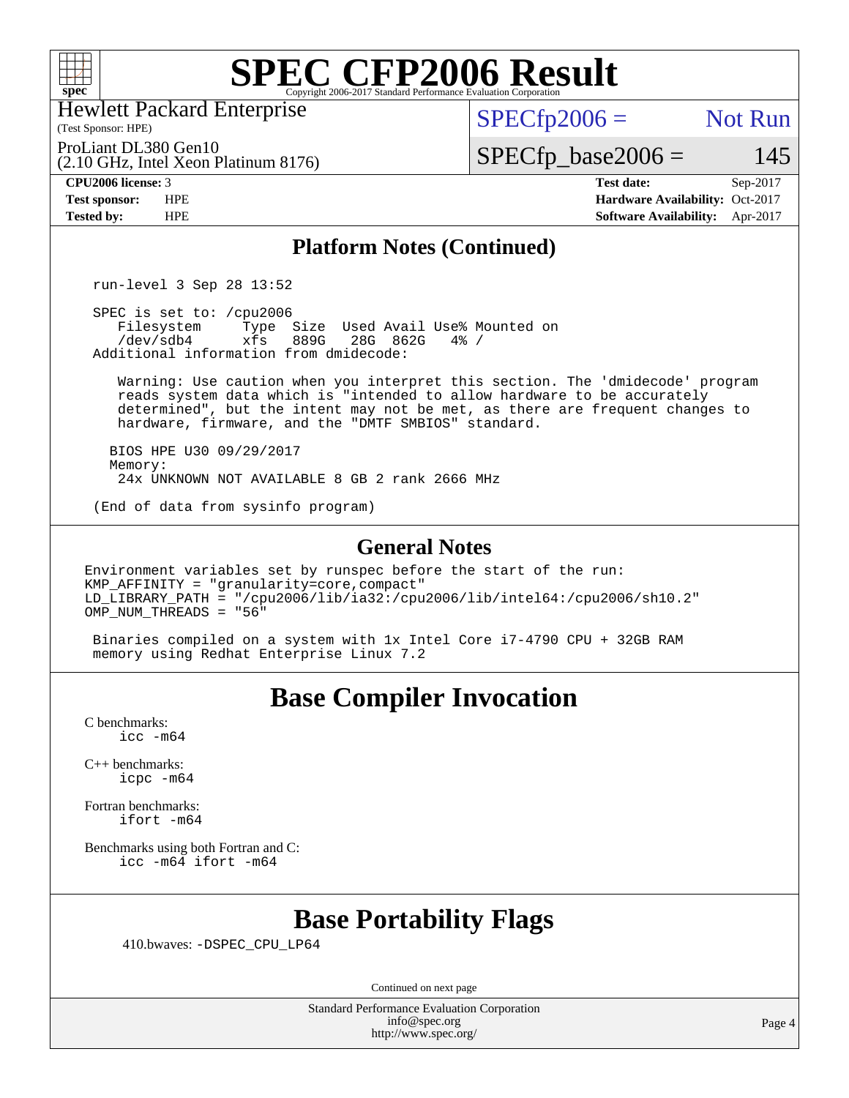

Hewlett Packard Enterprise

(2.10 GHz, Intel Xeon Platinum 8176)

(Test Sponsor: HPE)

 $SPECTp2006 =$  Not Run

ProLiant DL380 Gen10

 $SPECfp\_base2006 = 145$ 

**[CPU2006 license:](http://www.spec.org/auto/cpu2006/Docs/result-fields.html#CPU2006license)** 3 **[Test date:](http://www.spec.org/auto/cpu2006/Docs/result-fields.html#Testdate)** Sep-2017 **[Test sponsor:](http://www.spec.org/auto/cpu2006/Docs/result-fields.html#Testsponsor)** HPE **[Hardware Availability:](http://www.spec.org/auto/cpu2006/Docs/result-fields.html#HardwareAvailability)** Oct-2017 **[Tested by:](http://www.spec.org/auto/cpu2006/Docs/result-fields.html#Testedby)** HPE **[Software Availability:](http://www.spec.org/auto/cpu2006/Docs/result-fields.html#SoftwareAvailability)** Apr-2017

#### **[Platform Notes \(Continued\)](http://www.spec.org/auto/cpu2006/Docs/result-fields.html#PlatformNotes)**

run-level 3 Sep 28 13:52

SPEC is set to: /cpu2006<br>Filesystem Type Filesystem Type Size Used Avail Use% Mounted on<br>/dev/sdb4 xfs 889G 28G 862G 4% / 28G 862G Additional information from dmidecode:

 Warning: Use caution when you interpret this section. The 'dmidecode' program reads system data which is "intended to allow hardware to be accurately determined", but the intent may not be met, as there are frequent changes to hardware, firmware, and the "DMTF SMBIOS" standard.

 BIOS HPE U30 09/29/2017 Memory: 24x UNKNOWN NOT AVAILABLE 8 GB 2 rank 2666 MHz

(End of data from sysinfo program)

#### **[General Notes](http://www.spec.org/auto/cpu2006/Docs/result-fields.html#GeneralNotes)**

Environment variables set by runspec before the start of the run: KMP\_AFFINITY = "granularity=core,compact"  $LD$ \_LIBRARY\_PATH = "/cpu2006/lib/ia32:/cpu2006/lib/intel64:/cpu2006/sh10.2" OMP NUM THREADS =  $"56"$ 

 Binaries compiled on a system with 1x Intel Core i7-4790 CPU + 32GB RAM memory using Redhat Enterprise Linux 7.2

### **[Base Compiler Invocation](http://www.spec.org/auto/cpu2006/Docs/result-fields.html#BaseCompilerInvocation)**

[C benchmarks](http://www.spec.org/auto/cpu2006/Docs/result-fields.html#Cbenchmarks): [icc -m64](http://www.spec.org/cpu2006/results/res2017q4/cpu2006-20171002-50258.flags.html#user_CCbase_intel_icc_64bit_bda6cc9af1fdbb0edc3795bac97ada53)

[C++ benchmarks:](http://www.spec.org/auto/cpu2006/Docs/result-fields.html#CXXbenchmarks) [icpc -m64](http://www.spec.org/cpu2006/results/res2017q4/cpu2006-20171002-50258.flags.html#user_CXXbase_intel_icpc_64bit_fc66a5337ce925472a5c54ad6a0de310)

[Fortran benchmarks](http://www.spec.org/auto/cpu2006/Docs/result-fields.html#Fortranbenchmarks): [ifort -m64](http://www.spec.org/cpu2006/results/res2017q4/cpu2006-20171002-50258.flags.html#user_FCbase_intel_ifort_64bit_ee9d0fb25645d0210d97eb0527dcc06e)

[Benchmarks using both Fortran and C](http://www.spec.org/auto/cpu2006/Docs/result-fields.html#BenchmarksusingbothFortranandC): [icc -m64](http://www.spec.org/cpu2006/results/res2017q4/cpu2006-20171002-50258.flags.html#user_CC_FCbase_intel_icc_64bit_bda6cc9af1fdbb0edc3795bac97ada53) [ifort -m64](http://www.spec.org/cpu2006/results/res2017q4/cpu2006-20171002-50258.flags.html#user_CC_FCbase_intel_ifort_64bit_ee9d0fb25645d0210d97eb0527dcc06e)

### **[Base Portability Flags](http://www.spec.org/auto/cpu2006/Docs/result-fields.html#BasePortabilityFlags)**

410.bwaves: [-DSPEC\\_CPU\\_LP64](http://www.spec.org/cpu2006/results/res2017q4/cpu2006-20171002-50258.flags.html#suite_basePORTABILITY410_bwaves_DSPEC_CPU_LP64)

Continued on next page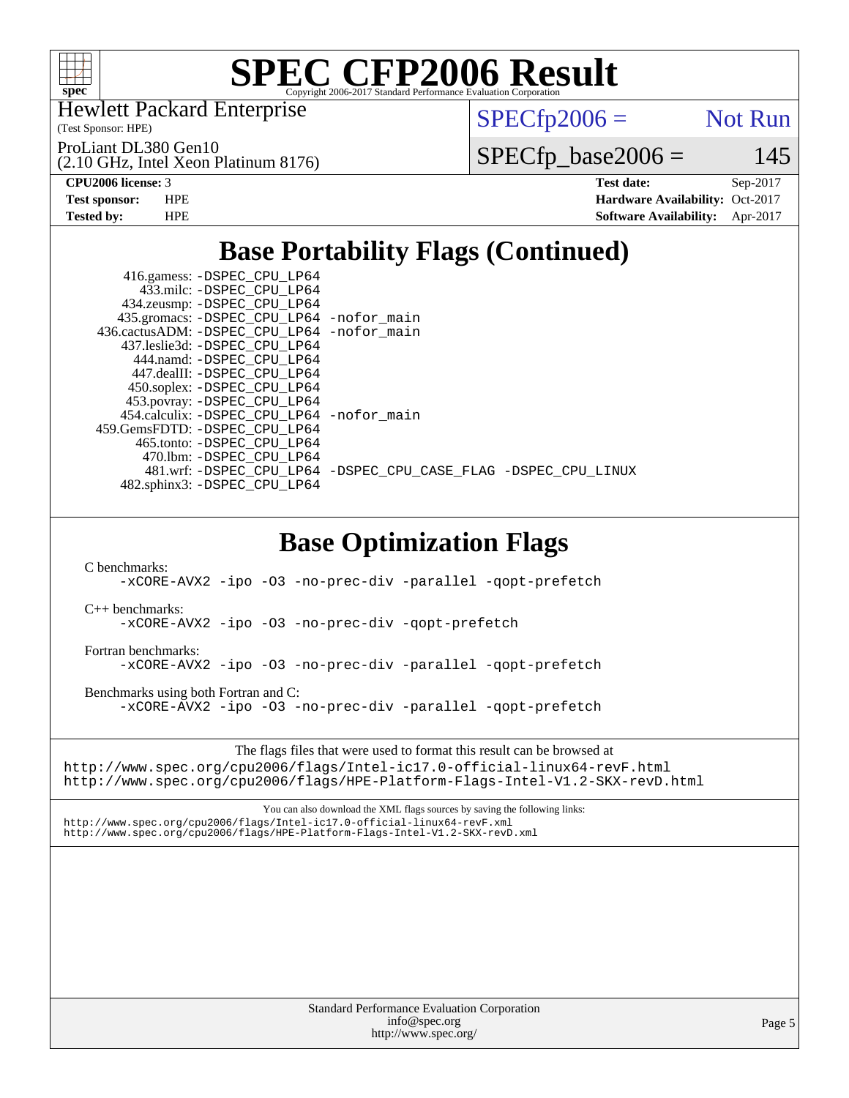

Hewlett Packard Enterprise

(Test Sponsor: HPE)

ProLiant DL380 Gen10

(2.10 GHz, Intel Xeon Platinum 8176)

 $SPECTp2006 =$  Not Run

 $SPECfp\_base2006 = 145$ 

**[CPU2006 license:](http://www.spec.org/auto/cpu2006/Docs/result-fields.html#CPU2006license)** 3 **[Test date:](http://www.spec.org/auto/cpu2006/Docs/result-fields.html#Testdate)** Sep-2017 **[Test sponsor:](http://www.spec.org/auto/cpu2006/Docs/result-fields.html#Testsponsor)** HPE **[Hardware Availability:](http://www.spec.org/auto/cpu2006/Docs/result-fields.html#HardwareAvailability)** Oct-2017 **[Tested by:](http://www.spec.org/auto/cpu2006/Docs/result-fields.html#Testedby)** HPE **[Software Availability:](http://www.spec.org/auto/cpu2006/Docs/result-fields.html#SoftwareAvailability)** Apr-2017

### **[Base Portability Flags \(Continued\)](http://www.spec.org/auto/cpu2006/Docs/result-fields.html#BasePortabilityFlags)**

| 416.gamess: -DSPEC_CPU_LP64                |                                                                |
|--------------------------------------------|----------------------------------------------------------------|
| 433.milc: -DSPEC CPU LP64                  |                                                                |
| 434.zeusmp: -DSPEC_CPU_LP64                |                                                                |
| 435.gromacs: -DSPEC_CPU_LP64 -nofor_main   |                                                                |
| 436.cactusADM: -DSPEC CPU LP64 -nofor main |                                                                |
| 437.leslie3d: -DSPEC CPU LP64              |                                                                |
| 444.namd: -DSPEC CPU LP64                  |                                                                |
| 447.dealII: -DSPEC CPU LP64                |                                                                |
| 450.soplex: -DSPEC_CPU_LP64                |                                                                |
| 453.povray: -DSPEC_CPU_LP64                |                                                                |
| 454.calculix: -DSPEC CPU LP64 -nofor main  |                                                                |
| 459.GemsFDTD: -DSPEC CPU LP64              |                                                                |
| 465.tonto: -DSPEC CPU LP64                 |                                                                |
| 470.1bm: - DSPEC CPU LP64                  |                                                                |
|                                            | 481.wrf: -DSPEC_CPU_LP64 -DSPEC_CPU_CASE_FLAG -DSPEC_CPU_LINUX |
| 482.sphinx3: -DSPEC CPU LP64               |                                                                |
|                                            |                                                                |

### **[Base Optimization Flags](http://www.spec.org/auto/cpu2006/Docs/result-fields.html#BaseOptimizationFlags)**

[C benchmarks](http://www.spec.org/auto/cpu2006/Docs/result-fields.html#Cbenchmarks):

[-xCORE-AVX2](http://www.spec.org/cpu2006/results/res2017q4/cpu2006-20171002-50258.flags.html#user_CCbase_f-xCORE-AVX2) [-ipo](http://www.spec.org/cpu2006/results/res2017q4/cpu2006-20171002-50258.flags.html#user_CCbase_f-ipo) [-O3](http://www.spec.org/cpu2006/results/res2017q4/cpu2006-20171002-50258.flags.html#user_CCbase_f-O3) [-no-prec-div](http://www.spec.org/cpu2006/results/res2017q4/cpu2006-20171002-50258.flags.html#user_CCbase_f-no-prec-div) [-parallel](http://www.spec.org/cpu2006/results/res2017q4/cpu2006-20171002-50258.flags.html#user_CCbase_f-parallel) [-qopt-prefetch](http://www.spec.org/cpu2006/results/res2017q4/cpu2006-20171002-50258.flags.html#user_CCbase_f-qopt-prefetch)

[C++ benchmarks:](http://www.spec.org/auto/cpu2006/Docs/result-fields.html#CXXbenchmarks)

[-xCORE-AVX2](http://www.spec.org/cpu2006/results/res2017q4/cpu2006-20171002-50258.flags.html#user_CXXbase_f-xCORE-AVX2) [-ipo](http://www.spec.org/cpu2006/results/res2017q4/cpu2006-20171002-50258.flags.html#user_CXXbase_f-ipo) [-O3](http://www.spec.org/cpu2006/results/res2017q4/cpu2006-20171002-50258.flags.html#user_CXXbase_f-O3) [-no-prec-div](http://www.spec.org/cpu2006/results/res2017q4/cpu2006-20171002-50258.flags.html#user_CXXbase_f-no-prec-div) [-qopt-prefetch](http://www.spec.org/cpu2006/results/res2017q4/cpu2006-20171002-50258.flags.html#user_CXXbase_f-qopt-prefetch)

[Fortran benchmarks](http://www.spec.org/auto/cpu2006/Docs/result-fields.html#Fortranbenchmarks):

[-xCORE-AVX2](http://www.spec.org/cpu2006/results/res2017q4/cpu2006-20171002-50258.flags.html#user_FCbase_f-xCORE-AVX2) [-ipo](http://www.spec.org/cpu2006/results/res2017q4/cpu2006-20171002-50258.flags.html#user_FCbase_f-ipo) [-O3](http://www.spec.org/cpu2006/results/res2017q4/cpu2006-20171002-50258.flags.html#user_FCbase_f-O3) [-no-prec-div](http://www.spec.org/cpu2006/results/res2017q4/cpu2006-20171002-50258.flags.html#user_FCbase_f-no-prec-div) [-parallel](http://www.spec.org/cpu2006/results/res2017q4/cpu2006-20171002-50258.flags.html#user_FCbase_f-parallel) [-qopt-prefetch](http://www.spec.org/cpu2006/results/res2017q4/cpu2006-20171002-50258.flags.html#user_FCbase_f-qopt-prefetch)

[Benchmarks using both Fortran and C](http://www.spec.org/auto/cpu2006/Docs/result-fields.html#BenchmarksusingbothFortranandC):

[-xCORE-AVX2](http://www.spec.org/cpu2006/results/res2017q4/cpu2006-20171002-50258.flags.html#user_CC_FCbase_f-xCORE-AVX2) [-ipo](http://www.spec.org/cpu2006/results/res2017q4/cpu2006-20171002-50258.flags.html#user_CC_FCbase_f-ipo) [-O3](http://www.spec.org/cpu2006/results/res2017q4/cpu2006-20171002-50258.flags.html#user_CC_FCbase_f-O3) [-no-prec-div](http://www.spec.org/cpu2006/results/res2017q4/cpu2006-20171002-50258.flags.html#user_CC_FCbase_f-no-prec-div) [-parallel](http://www.spec.org/cpu2006/results/res2017q4/cpu2006-20171002-50258.flags.html#user_CC_FCbase_f-parallel) [-qopt-prefetch](http://www.spec.org/cpu2006/results/res2017q4/cpu2006-20171002-50258.flags.html#user_CC_FCbase_f-qopt-prefetch)

The flags files that were used to format this result can be browsed at

<http://www.spec.org/cpu2006/flags/Intel-ic17.0-official-linux64-revF.html> <http://www.spec.org/cpu2006/flags/HPE-Platform-Flags-Intel-V1.2-SKX-revD.html>

You can also download the XML flags sources by saving the following links: <http://www.spec.org/cpu2006/flags/Intel-ic17.0-official-linux64-revF.xml> <http://www.spec.org/cpu2006/flags/HPE-Platform-Flags-Intel-V1.2-SKX-revD.xml>